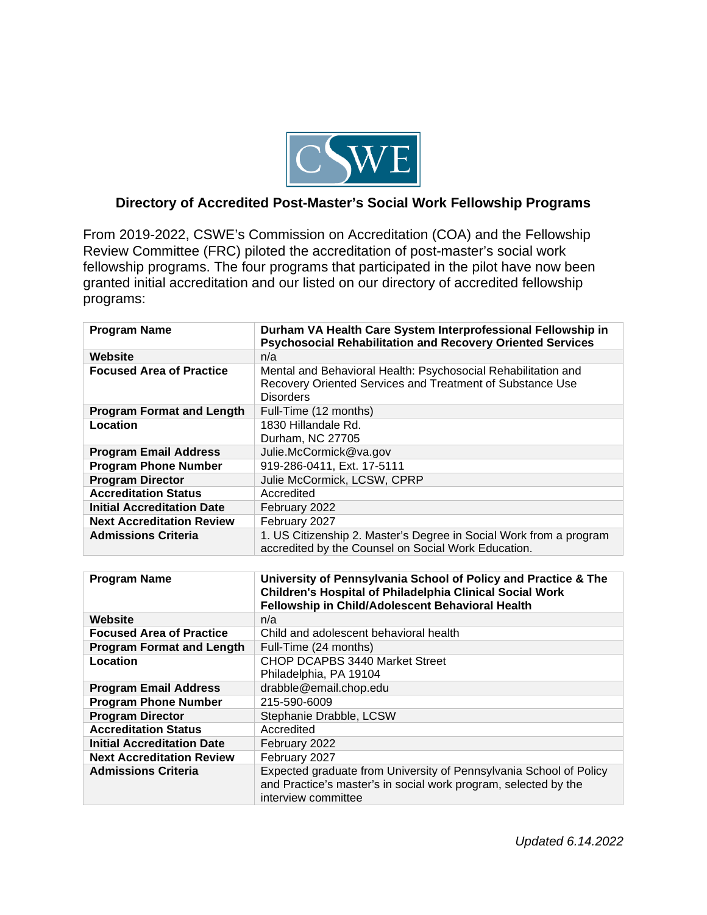

## **Directory of Accredited Post-Master's Social Work Fellowship Programs**

From 2019-2022, CSWE's Commission on Accreditation (COA) and the Fellowship Review Committee (FRC) piloted the accreditation of post-master's social work fellowship programs. The four programs that participated in the pilot have now been granted initial accreditation and our listed on our directory of accredited fellowship programs:

| <b>Program Name</b>               | Durham VA Health Care System Interprofessional Fellowship in<br><b>Psychosocial Rehabilitation and Recovery Oriented Services</b>                                              |
|-----------------------------------|--------------------------------------------------------------------------------------------------------------------------------------------------------------------------------|
| Website                           | n/a                                                                                                                                                                            |
| <b>Focused Area of Practice</b>   | Mental and Behavioral Health: Psychosocial Rehabilitation and<br>Recovery Oriented Services and Treatment of Substance Use<br><b>Disorders</b>                                 |
| <b>Program Format and Length</b>  | Full-Time (12 months)                                                                                                                                                          |
| Location                          | 1830 Hillandale Rd.<br>Durham, NC 27705                                                                                                                                        |
| <b>Program Email Address</b>      | Julie.McCormick@va.gov                                                                                                                                                         |
| <b>Program Phone Number</b>       | 919-286-0411, Ext. 17-5111                                                                                                                                                     |
| <b>Program Director</b>           | Julie McCormick, LCSW, CPRP                                                                                                                                                    |
| <b>Accreditation Status</b>       | Accredited                                                                                                                                                                     |
| <b>Initial Accreditation Date</b> | February 2022                                                                                                                                                                  |
| <b>Next Accreditation Review</b>  | February 2027                                                                                                                                                                  |
| <b>Admissions Criteria</b>        | 1. US Citizenship 2. Master's Degree in Social Work from a program<br>accredited by the Counsel on Social Work Education.                                                      |
|                                   |                                                                                                                                                                                |
| <b>Program Name</b>               | University of Pennsylvania School of Policy and Practice & The<br>Children's Hospital of Philadelphia Clinical Social Work<br>Fellowship in Child/Adolescent Behavioral Health |
| Website                           | n/a                                                                                                                                                                            |
| <b>Focused Area of Practice</b>   | Child and adolescent behavioral health                                                                                                                                         |
| <b>Program Format and Length</b>  | Full-Time (24 months)                                                                                                                                                          |
| Location                          | <b>CHOP DCAPBS 3440 Market Street</b><br>Philadelphia, PA 19104                                                                                                                |
| <b>Program Email Address</b>      | drabble@email.chop.edu                                                                                                                                                         |
| <b>Program Phone Number</b>       | 215-590-6009                                                                                                                                                                   |
| <b>Program Director</b>           | Stephanie Drabble, LCSW                                                                                                                                                        |
| <b>Accreditation Status</b>       | Accredited                                                                                                                                                                     |
| <b>Initial Accreditation Date</b> | February 2022                                                                                                                                                                  |
| <b>Next Accreditation Review</b>  | February 2027                                                                                                                                                                  |
| <b>Admissions Criteria</b>        | Expected graduate from University of Pennsylvania School of Policy                                                                                                             |
|                                   | and Practice's master's in social work program, selected by the<br>interview committee                                                                                         |